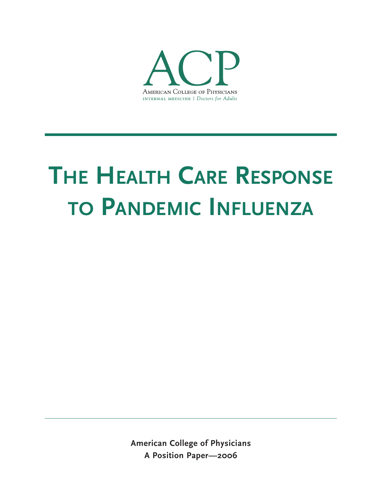

# **THE HEALTH CARE RESPONSE TO PANDEMIC INFLUENZA**

**American College of Physicians A Position Paper—2006**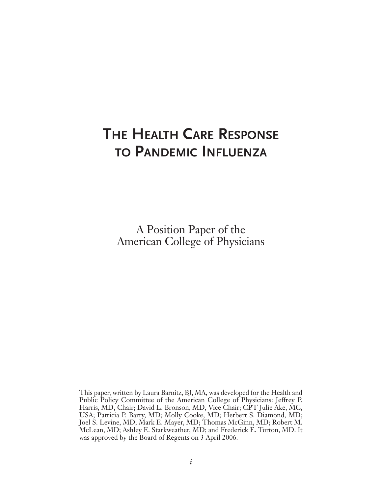# **THE HEALTH CARE RESPONSE TO PANDEMIC INFLUENZA**

A Position Paper of the American College of Physicians

This paper, written by Laura Barnitz, BJ, MA, was developed for the Health and Public Policy Committee of the American College of Physicians: Jeffrey P. Harris, MD, Chair; David L. Bronson, MD, Vice Chair; CPT Julie Ake, MC, USA; Patricia P. Barry, MD; Molly Cooke, MD; Herbert S. Diamond, MD; Joel S. Levine, MD; Mark E. Mayer, MD; Thomas McGinn, MD; Robert M. McLean, MD; Ashley E. Starkweather, MD; and Frederick E. Turton, MD. It was approved by the Board of Regents on 3 April 2006.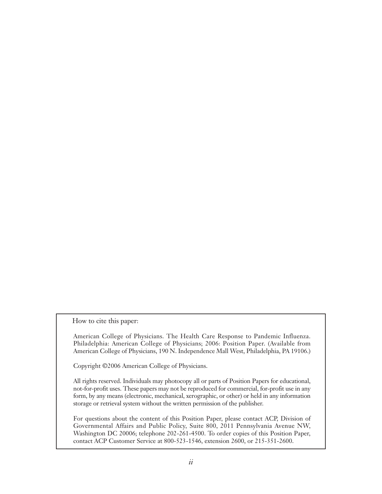How to cite this paper:

American College of Physicians. The Health Care Response to Pandemic Influenza. Philadelphia: American College of Physicians; 2006: Position Paper. (Available from American College of Physicians, 190 N. Independence Mall West, Philadelphia, PA 19106.)

Copyright ©2006 American College of Physicians.

All rights reserved. Individuals may photocopy all or parts of Position Papers for educational, not-for-profit uses. These papers may not be reproduced for commercial, for-profit use in any form, by any means (electronic, mechanical, xerographic, or other) or held in any information storage or retrieval system without the written permission of the publisher.

For questions about the content of this Position Paper, please contact ACP, Division of Governmental Affairs and Public Policy, Suite 800, 2011 Pennsylvania Avenue NW, Washington DC 20006; telephone 202-261-4500. To order copies of this Position Paper, contact ACP Customer Service at 800-523-1546, extension 2600, or 215-351-2600.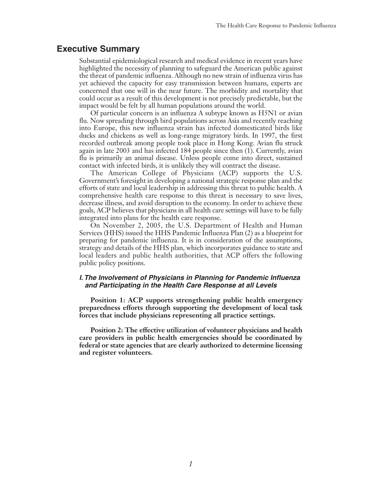#### **Executive Summary**

Substantial epidemiological research and medical evidence in recent years have highlighted the necessity of planning to safeguard the American public against the threat of pandemic influenza. Although no new strain of influenza virus has yet achieved the capacity for easy transmission between humans, experts are concerned that one will in the near future. The morbidity and mortality that could occur as a result of this development is not precisely predictable, but the impact would be felt by all human populations around the world.

Of particular concern is an influenza A subtype known as H5N1 or avian flu. Now spreading through bird populations across Asia and recently reaching into Europe, this new influenza strain has infected domesticated birds like ducks and chickens as well as long-range migratory birds. In 1997, the first recorded outbreak among people took place in Hong Kong. Avian flu struck again in late 2003 and has infected 184 people since then (1). Currently, avian flu is primarily an animal disease. Unless people come into direct, sustained contact with infected birds, it is unlikely they will contract the disease.

The American College of Physicians (ACP) supports the U.S. Government's foresight in developing a national strategic response plan and the efforts of state and local leadership in addressing this threat to public health. A comprehensive health care response to this threat is necessary to save lives, decrease illness, and avoid disruption to the economy. In order to achieve these goals, ACP believes that physicians in all health care settings will have to be fully integrated into plans for the health care response.

On November 2, 2005, the U.S. Department of Health and Human Services (HHS) issued the HHS Pandemic Influenza Plan (2) as a blueprint for preparing for pandemic influenza. It is in consideration of the assumptions, strategy and details of the HHS plan, which incorporates guidance to state and local leaders and public health authorities, that ACP offers the following public policy positions.

#### *I. The Involvement of Physicians in Planning for Pandemic Influenza and Participating in the Health Care Response at all Levels*

**Position 1: ACP supports strengthening public health emergency preparedness efforts through supporting the development of local task forces that include physicians representing all practice settings.** 

**Position 2: The effective utilization of volunteer physicians and health care providers in public health emergencies should be coordinated by federal or state agencies that are clearly authorized to determine licensing and register volunteers.**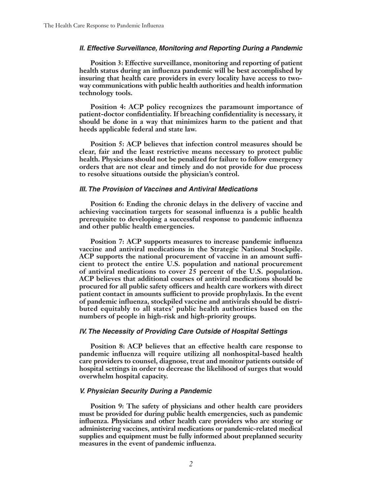#### *II. Effective Surveillance, Monitoring and Reporting During a Pandemic*

**Position 3: Effective surveillance, monitoring and reporting of patient health status during an influenza pandemic will be best accomplished by insuring that health care providers in every locality have access to twoway communications with public health authorities and health information technology tools.** 

**Position 4: ACP policy recognizes the paramount importance of patient-doctor confidentiality. If breaching confidentiality is necessary, it should be done in a way that minimizes harm to the patient and that heeds applicable federal and state law.** 

**Position 5: ACP believes that infection control measures should be clear, fair and the least restrictive means necessary to protect public health. Physicians should not be penalized for failure to follow emergency orders that are not clear and timely and do not provide for due process to resolve situations outside the physician's control.**

#### *III. The Provision of Vaccines and Antiviral Medications*

**Position 6: Ending the chronic delays in the delivery of vaccine and achieving vaccination targets for seasonal influenza is a public health prerequisite to developing a successful response to pandemic influenza and other public health emergencies.** 

**Position 7: ACP supports measures to increase pandemic influenza vaccine and antiviral medications in the Strategic National Stockpile. ACP supports the national procurement of vaccine in an amount sufficient to protect the entire U.S. population and national procurement of antiviral medications to cover 25 percent of the U.S. population. ACP believes that additional courses of antiviral medications should be procured for all public safety officers and health care workers with direct patient contact in amounts sufficient to provide prophylaxis. In the event of pandemic influenza, stockpiled vaccine and antivirals should be distributed equitably to all states' public health authorities based on the numbers of people in high-risk and high-priority groups.** 

#### *IV. The Necessity of Providing Care Outside of Hospital Settings*

**Position 8: ACP believes that an effective health care response to pandemic influenza will require utilizing all nonhospital-based health care providers to counsel, diagnose, treat and monitor patients outside of hospital settings in order to decrease the likelihood of surges that would overwhelm hospital capacity.** 

#### *V. Physician Security During a Pandemic*

**Position 9: The safety of physicians and other health care providers must be provided for during public health emergencies, such as pandemic influenza. Physicians and other health care providers who are storing or administering vaccines, antiviral medications or pandemic-related medical supplies and equipment must be fully informed about preplanned security measures in the event of pandemic influenza.**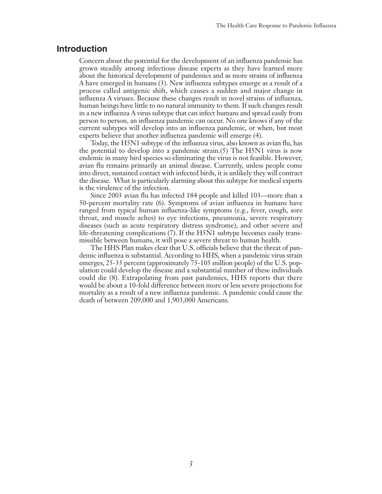### **Introduction**

Concern about the potential for the development of an influenza pandemic has grown steadily among infectious disease experts as they have learned more about the historical development of pandemics and as more strains of influenza A have emerged in humans (3). New influenza subtypes emerge as a result of a process called antigenic shift, which causes a sudden and major change in influenza A viruses. Because these changes result in novel strains of influenza, human beings have little to no natural immunity to them. If such changes result in a new influenza A virus subtype that can infect humans and spread easily from person to person, an influenza pandemic can occur. No one knows if any of the current subtypes will develop into an influenza pandemic, or when, but most experts believe that another influenza pandemic will emerge (4).

Today, the H5N1 subtype of the influenza virus, also known as avian flu, has the potential to develop into a pandemic strain.(5) The H5N1 virus is now endemic in many bird species so eliminating the virus is not feasible. However, avian flu remains primarily an animal disease. Currently, unless people come into direct, sustained contact with infected birds, it is unlikely they will contract the disease. What is particularly alarming about this subtype for medical experts is the virulence of the infection.

Since 2003 avian flu has infected 184 people and killed 103—more than a 50-percent mortality rate (6). Symptoms of avian influenza in humans have ranged from typical human influenza-like symptoms (e.g., fever, cough, sore throat, and muscle aches) to eye infections, pneumonia, severe respiratory diseases (such as acute respiratory distress syndrome), and other severe and life-threatening complications (7). If the H5N1 subtype becomes easily transmissible between humans, it will pose a severe threat to human health.

The HHS Plan makes clear that U.S. officials believe that the threat of pandemic influenza is substantial. According to HHS, when a pandemic virus strain emerges, 25-35 percent (approximately 75-105 million people) of the U.S. population could develop the disease and a substantial number of these individuals could die (8). Extrapolating from past pandemics, HHS reports that there would be about a 10-fold difference between more or less severe projections for mortality as a result of a new influenza pandemic. A pandemic could cause the death of between 209,000 and 1,903,000 Americans.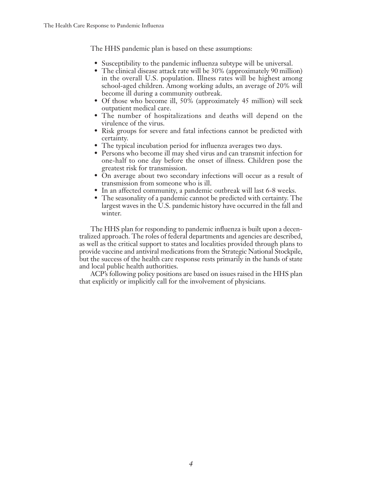The HHS pandemic plan is based on these assumptions:

- Susceptibility to the pandemic influenza subtype will be universal.
- The clinical disease attack rate will be 30% (approximately 90 million) in the overall U.S. population. Illness rates will be highest among school-aged children. Among working adults, an average of 20% will become ill during a community outbreak.
- Of those who become ill, 50% (approximately 45 million) will seek outpatient medical care.
- The number of hospitalizations and deaths will depend on the virulence of the virus.
- Risk groups for severe and fatal infections cannot be predicted with certainty.
- The typical incubation period for influenza averages two days.
- Persons who become ill may shed virus and can transmit infection for one-half to one day before the onset of illness. Children pose the greatest risk for transmission.
- On average about two secondary infections will occur as a result of transmission from someone who is ill.
- In an affected community, a pandemic outbreak will last 6-8 weeks.
- The seasonality of a pandemic cannot be predicted with certainty. The largest waves in the  $\overline{U}$ . pandemic history have occurred in the fall and winter.

The HHS plan for responding to pandemic influenza is built upon a decentralized approach. The roles of federal departments and agencies are described, as well as the critical support to states and localities provided through plans to provide vaccine and antiviral medications from the Strategic National Stockpile, but the success of the health care response rests primarily in the hands of state and local public health authorities.

ACP's following policy positions are based on issues raised in the HHS plan that explicitly or implicitly call for the involvement of physicians.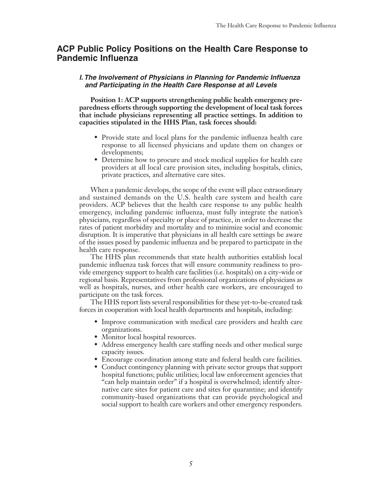# **ACP Public Policy Positions on the Health Care Response to Pandemic Influenza**

#### *I. The Involvement of Physicians in Planning for Pandemic Influenza and Participating in the Health Care Response at all Levels*

**Position 1: ACP supports strengthening public health emergency preparedness efforts through supporting the development of local task forces that include physicians representing all practice settings. In addition to capacities stipulated in the HHS Plan, task forces should:**

- Provide state and local plans for the pandemic influenza health care response to all licensed physicians and update them on changes or developments;
- Determine how to procure and stock medical supplies for health care providers at all local care provision sites, including hospitals, clinics, private practices, and alternative care sites.

When a pandemic develops, the scope of the event will place extraordinary and sustained demands on the U.S. health care system and health care providers. ACP believes that the health care response to any public health emergency, including pandemic influenza, must fully integrate the nation's physicians, regardless of specialty or place of practice, in order to decrease the rates of patient morbidity and mortality and to minimize social and economic disruption. It is imperative that physicians in all health care settings be aware of the issues posed by pandemic influenza and be prepared to participate in the health care response.

The HHS plan recommends that state health authorities establish local pandemic influenza task forces that will ensure community readiness to provide emergency support to health care facilities (i.e. hospitals) on a city-wide or regional basis. Representatives from professional organizations of physicians as well as hospitals, nurses, and other health care workers, are encouraged to participate on the task forces.

The HHS report lists several responsibilities for these yet-to-be-created task forces in cooperation with local health departments and hospitals, including:

- Improve communication with medical care providers and health care organizations.
- Monitor local hospital resources.
- Address emergency health care staffing needs and other medical surge capacity issues.
- Encourage coordination among state and federal health care facilities.
- Conduct contingency planning with private sector groups that support hospital functions; public utilities; local law enforcement agencies that "can help maintain order" if a hospital is overwhelmed; identify alternative care sites for patient care and sites for quarantine; and identify community-based organizations that can provide psychological and social support to health care workers and other emergency responders.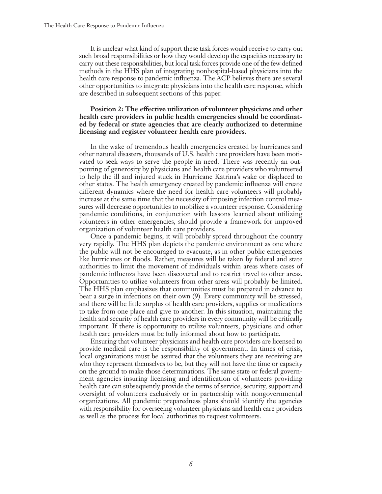It is unclear what kind of support these task forces would receive to carry out such broad responsibilities or how they would develop the capacities necessary to carry out these responsibilities, but local task forces provide one of the few defined methods in the HHS plan of integrating nonhospital-based physicians into the health care response to pandemic influenza. The ACP believes there are several other opportunities to integrate physicians into the health care response, which are described in subsequent sections of this paper.

#### **Position 2: The effective utilization of volunteer physicians and other health care providers in public health emergencies should be coordinated by federal or state agencies that are clearly authorized to determine licensing and register volunteer health care providers.**

In the wake of tremendous health emergencies created by hurricanes and other natural disasters, thousands of U.S. health care providers have been motivated to seek ways to serve the people in need. There was recently an outpouring of generosity by physicians and health care providers who volunteered to help the ill and injured stuck in Hurricane Katrina's wake or displaced to other states. The health emergency created by pandemic influenza will create different dynamics where the need for health care volunteers will probably increase at the same time that the necessity of imposing infection control measures will decrease opportunities to mobilize a volunteer response. Considering pandemic conditions, in conjunction with lessons learned about utilizing volunteers in other emergencies, should provide a framework for improved organization of volunteer health care providers.

Once a pandemic begins, it will probably spread throughout the country very rapidly. The HHS plan depicts the pandemic environment as one where the public will not be encouraged to evacuate, as in other public emergencies like hurricanes or floods. Rather, measures will be taken by federal and state authorities to limit the movement of individuals within areas where cases of pandemic influenza have been discovered and to restrict travel to other areas. Opportunities to utilize volunteers from other areas will probably be limited. The HHS plan emphasizes that communities must be prepared in advance to bear a surge in infections on their own (9). Every community will be stressed, and there will be little surplus of health care providers, supplies or medications to take from one place and give to another. In this situation, maintaining the health and security of health care providers in every community will be critically important. If there is opportunity to utilize volunteers, physicians and other health care providers must be fully informed about how to participate.

Ensuring that volunteer physicians and health care providers are licensed to provide medical care is the responsibility of government. In times of crisis, local organizations must be assured that the volunteers they are receiving are who they represent themselves to be, but they will not have the time or capacity on the ground to make those determinations. The same state or federal government agencies insuring licensing and identification of volunteers providing health care can subsequently provide the terms of service, security, support and oversight of volunteers exclusively or in partnership with nongovernmental organizations. All pandemic preparedness plans should identify the agencies with responsibility for overseeing volunteer physicians and health care providers as well as the process for local authorities to request volunteers.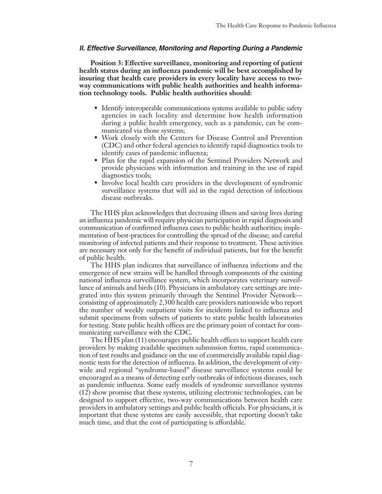#### *II. Effective Surveillance, Monitoring and Reporting During a Pandemic*

**Position 3: Effective surveillance, monitoring and reporting of patient health status during an influenza pandemic will be best accomplished by insuring that health care providers in every locality have access to twoway communications with public health authorities and health information technology tools. Public health authorities should:**

- Identify interoperable communications systems available to public safety agencies in each locality and determine how health information during a public health emergency, such as a pandemic, can be communicated via those systems;
- Work closely with the Centers for Disease Control and Prevention (CDC) and other federal agencies to identify rapid diagnostics tools to identify cases of pandemic influenza;
- Plan for the rapid expansion of the Sentinel Providers Network and provide physicians with information and training in the use of rapid diagnostics tools;
- Involve local health care providers in the development of syndromic surveillance systems that will aid in the rapid detection of infectious disease outbreaks.

The HHS plan acknowledges that decreasing illness and saving lives during an influenza pandemic will require physician participation in rapid diagnosis and communication of confirmed influenza cases to public health authorities; implementation of best-practices for controlling the spread of the disease; and careful monitoring of infected patients and their response to treatment. These activities are necessary not only for the benefit of individual patients, but for the benefit of public health.

The HHS plan indicates that surveillance of influenza infections and the emergence of new strains will be handled through components of the existing national influenza surveillance system, which incorporates veterinary surveillance of animals and birds (10). Physicians in ambulatory care settings are integrated into this system primarily through the Sentinel Provider Network consisting of approximately 2,300 health care providers nationwide who report the number of weekly outpatient visits for incidents linked to influenza and submit specimens from subsets of patients to state public health laboratories for testing. State public health offices are the primary point of contact for communicating surveillance with the CDC.

The HHS plan (11) encourages public health offices to support health care providers by making available specimen submission forms, rapid communication of test results and guidance on the use of commercially available rapid diagnostic tests for the detection of influenza. In addition, the development of citywide and regional "syndrome-based" disease surveillance systems could be encouraged as a means of detecting early outbreaks of infectious diseases, such as pandemic influenza. Some early models of syndromic surveillance systems (12) show promise that these systems, utilizing electronic technologies, can be designed to support effective, two-way communications between health care providers in ambulatory settings and public health officials. For physicians, it is important that these systems are easily accessible, that reporting doesn't take much time, and that the cost of participating is affordable.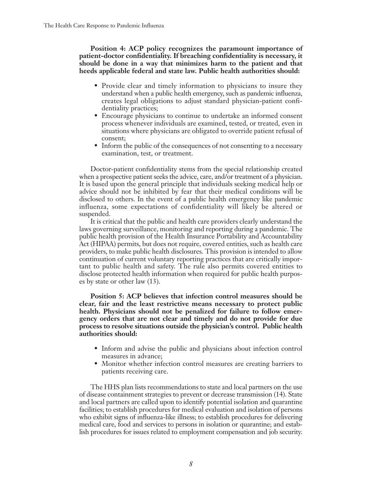**Position 4: ACP policy recognizes the paramount importance of patient-doctor confidentiality. If breaching confidentiality is necessary, it should be done in a way that minimizes harm to the patient and that heeds applicable federal and state law. Public health authorities should:**

- Provide clear and timely information to physicians to insure they understand when a public health emergency, such as pandemic influenza, creates legal obligations to adjust standard physician-patient confidentiality practices;
- Encourage physicians to continue to undertake an informed consent process whenever individuals are examined, tested, or treated, even in situations where physicians are obligated to override patient refusal of consent;
- Inform the public of the consequences of not consenting to a necessary examination, test, or treatment.

Doctor-patient confidentiality stems from the special relationship created when a prospective patient seeks the advice, care, and/or treatment of a physician. It is based upon the general principle that individuals seeking medical help or advice should not be inhibited by fear that their medical conditions will be disclosed to others. In the event of a public health emergency like pandemic influenza, some expectations of confidentiality will likely be altered or suspended.

It is critical that the public and health care providers clearly understand the laws governing surveillance, monitoring and reporting during a pandemic. The public health provision of the Health Insurance Portability and Accountability Act (HIPAA) permits, but does not require, covered entities, such as health care providers, to make public health disclosures. This provision is intended to allow continuation of current voluntary reporting practices that are critically important to public health and safety. The rule also permits covered entities to disclose protected health information when required for public health purposes by state or other law (13).

**Position 5: ACP believes that infection control measures should be clear, fair and the least restrictive means necessary to protect public health. Physicians should not be penalized for failure to follow emergency orders that are not clear and timely and do not provide for due process to resolve situations outside the physician's control. Public health authorities should:**

- Inform and advise the public and physicians about infection control measures in advance;
- Monitor whether infection control measures are creating barriers to patients receiving care.

The HHS plan lists recommendations to state and local partners on the use of disease containment strategies to prevent or decrease transmission (14). State and local partners are called upon to identify potential isolation and quarantine facilities; to establish procedures for medical evaluation and isolation of persons who exhibit signs of influenza-like illness; to establish procedures for delivering medical care, food and services to persons in isolation or quarantine; and establish procedures for issues related to employment compensation and job security.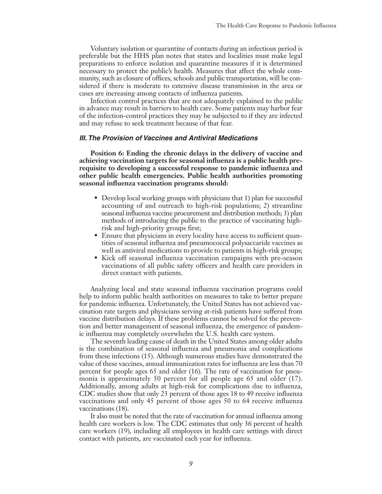Voluntary isolation or quarantine of contacts during an infectious period is preferable but the HHS plan notes that states and localities must make legal preparations to enforce isolation and quarantine measures if it is determined necessary to protect the public's health. Measures that affect the whole community, such as closure of offices, schools and public transportation, will be considered if there is moderate to extensive disease transmission in the area or cases are increasing among contacts of influenza patients.

Infection control practices that are not adequately explained to the public in advance may result in barriers to health care. Some patients may harbor fear of the infection-control practices they may be subjected to if they are infected and may refuse to seek treatment because of that fear.

#### *III. The Provision of Vaccines and Antiviral Medications*

**Position 6: Ending the chronic delays in the delivery of vaccine and achieving vaccination targets for seasonal influenza is a public health prerequisite to developing a successful response to pandemic influenza and other public health emergencies. Public health authorities promoting seasonal influenza vaccination programs should:**

- Develop local working groups with physicians that 1) plan for successful accounting of and outreach to high-risk populations; 2) streamline seasonal influenza vaccine procurement and distribution methods; 3) plan methods of introducing the public to the practice of vaccinating highrisk and high-priority groups first;
- Ensure that physicians in every locality have access to sufficient quantities of seasonal influenza and pneumococcal polysaccaride vaccines as well as antiviral medications to provide to patients in high-risk groups;
- Kick off seasonal influenza vaccination campaigns with pre-season vaccinations of all public safety officers and health care providers in direct contact with patients.

Analyzing local and state seasonal influenza vaccination programs could help to inform public health authorities on measures to take to better prepare for pandemic influenza. Unfortunately, the United States has not achieved vaccination rate targets and physicians serving at-risk patients have suffered from vaccine distribution delays. If these problems cannot be solved for the prevention and better management of seasonal influenza, the emergence of pandemic influenza may completely overwhelm the U.S. health care system.

The seventh leading cause of death in the United States among older adults is the combination of seasonal influenza and pneumonia and complications from these infections (15). Although numerous studies have demonstrated the value of these vaccines, annual immunization rates for influenza are less than 70 percent for people ages 65 and older (16). The rate of vaccination for pneumonia is approximately 50 percent for all people age 65 and older (17). Additionally, among adults at high-risk for complications due to influenza, CDC studies show that only 23 percent of those ages 18 to 49 receive influenza vaccinations and only 45 percent of those ages 50 to 64 receive influenza vaccinations (18).

It also must be noted that the rate of vaccination for annual influenza among health care workers is low. The CDC estimates that only 36 percent of health care workers (19), including all employees in health care settings with direct contact with patients, are vaccinated each year for influenza.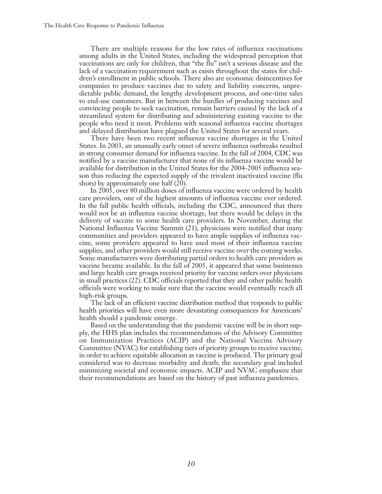There are multiple reasons for the low rates of influenza vaccinations among adults in the United States, including the widespread perception that vaccinations are only for children, that "the flu" isn't a serious disease and the lack of a vaccination requirement such as exists throughout the states for children's enrollment in public schools. There also are economic disincentives for companies to produce vaccines due to safety and liability concerns, unpredictable public demand, the lengthy development process, and one-time sales to end-use customers. But in between the hurdles of producing vaccines and convincing people to seek vaccination, remain barriers caused by the lack of a streamlined system for distributing and administering existing vaccine to the people who need it most. Problems with seasonal influenza vaccine shortages and delayed distribution have plagued the United States for several years.

There have been two recent influenza vaccine shortages in the United States. In 2003, an unusually early onset of severe influenza outbreaks resulted in strong consumer demand for influenza vaccine. In the fall of 2004, CDC was notified by a vaccine manufacturer that none of its influenza vaccine would be available for distribution in the United States for the 2004-2005 influenza season thus reducing the expected supply of the trivalent inactivated vaccine (flu shots) by approximately one half  $(20)$ .

In 2005, over 80 million doses of influenza vaccine were ordered by health care providers, one of the highest amounts of influenza vaccine ever ordered. In the fall public health officials, including the CDC, announced that there would not be an influenza vaccine shortage, but there would be delays in the delivery of vaccine to some health care providers. In November, during the National Influenza Vaccine Summit (21), physicians were notified that many communities and providers appeared to have ample supplies of influenza vaccine, some providers appeared to have used most of their influenza vaccine supplies, and other providers would still receive vaccine over the coming weeks. Some manufacturers were distributing partial orders to health care providers as vaccine became available. In the fall of 2005, it appeared that some businesses and large health care groups received priority for vaccine orders over physicians in small practices (22). CDC officials reported that they and other public health officials were working to make sure that the vaccine would eventually reach all high-risk groups.

The lack of an efficient vaccine distribution method that responds to public health priorities will have even more devastating consequences for Americans' health should a pandemic emerge.

Based on the understanding that the pandemic vaccine will be in short supply, the HHS plan includes the recommendations of the Advisory Committee on Immunization Practices (ACIP) and the National Vaccine Advisory Committee (NVAC) for establishing tiers of priority groups to receive vaccine, in order to achieve equitable allocation as vaccine is produced. The primary goal considered was to decrease morbidity and death; the secondary goal included minimizing societal and economic impacts. ACIP and NVAC emphasize that their recommendations are based on the history of past influenza pandemics.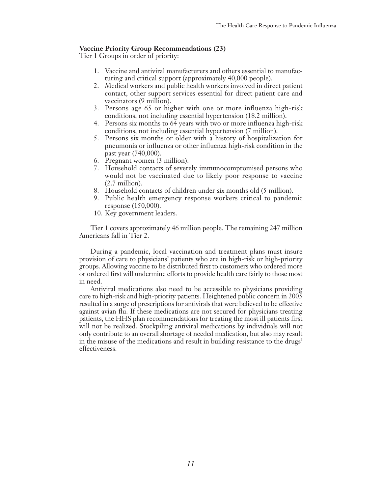#### **Vaccine Priority Group Recommendations (23)**

Tier 1 Groups in order of priority:

- 1. Vaccine and antiviral manufacturers and others essential to manufacturing and critical support (approximately 40,000 people).
- 2. Medical workers and public health workers involved in direct patient contact, other support services essential for direct patient care and vaccinators (9 million).
- 3. Persons age 65 or higher with one or more influenza high-risk conditions, not including essential hypertension (18.2 million).
- 4. Persons six months to 64 years with two or more influenza high-risk conditions, not including essential hypertension (7 million).
- 5. Persons six months or older with a history of hospitalization for pneumonia or influenza or other influenza high-risk condition in the past year (740,000).
- 6. Pregnant women (3 million).
- 7. Household contacts of severely immunocompromised persons who would not be vaccinated due to likely poor response to vaccine (2.7 million).
- 8. Household contacts of children under six months old (5 million).
- 9. Public health emergency response workers critical to pandemic response (150,000).
- 10. Key government leaders.

Tier 1 covers approximately 46 million people. The remaining 247 million Americans fall in Tier 2.

During a pandemic, local vaccination and treatment plans must insure provision of care to physicians' patients who are in high-risk or high-priority groups. Allowing vaccine to be distributed first to customers who ordered more or ordered first will undermine efforts to provide health care fairly to those most in need.

Antiviral medications also need to be accessible to physicians providing care to high-risk and high-priority patients. Heightened public concern in 2005 resulted in a surge of prescriptions for antivirals that were believed to be effective against avian flu. If these medications are not secured for physicians treating patients, the HHS plan recommendations for treating the most ill patients first will not be realized. Stockpiling antiviral medications by individuals will not only contribute to an overall shortage of needed medication, but also may result in the misuse of the medications and result in building resistance to the drugs' effectiveness.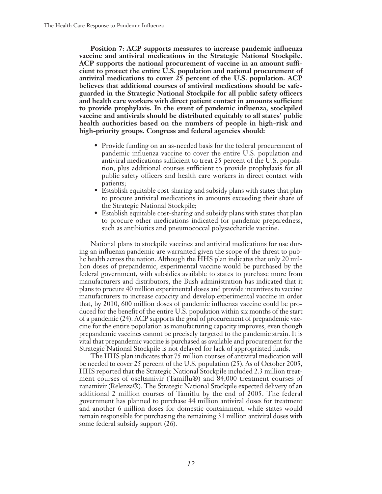**Position 7: ACP supports measures to increase pandemic influenza vaccine and antiviral medications in the Strategic National Stockpile. ACP supports the national procurement of vaccine in an amount sufficient to protect the entire U.S. population and national procurement of antiviral medications to cover 25 percent of the U.S. population. ACP believes that additional courses of antiviral medications should be safeguarded in the Strategic National Stockpile for all public safety officers and health care workers with direct patient contact in amounts sufficient to provide prophylaxis. In the event of pandemic influenza, stockpiled vaccine and antivirals should be distributed equitably to all states' public health authorities based on the numbers of people in high-risk and high-priority groups. Congress and federal agencies should:**

- Provide funding on an as-needed basis for the federal procurement of pandemic influenza vaccine to cover the entire U.S. population and antiviral medications sufficient to treat 25 percent of the U.S. population, plus additional courses sufficient to provide prophylaxis for all public safety officers and health care workers in direct contact with patients;
- Establish equitable cost-sharing and subsidy plans with states that plan to procure antiviral medications in amounts exceeding their share of the Strategic National Stockpile;
- Establish equitable cost-sharing and subsidy plans with states that plan to procure other medications indicated for pandemic preparedness, such as antibiotics and pneumococcal polysaccharide vaccine.

National plans to stockpile vaccines and antiviral medications for use during an influenza pandemic are warranted given the scope of the threat to public health across the nation. Although the HHS plan indicates that only 20 million doses of prepandemic, experimental vaccine would be purchased by the federal government, with subsidies available to states to purchase more from manufacturers and distributors, the Bush administration has indicated that it plans to procure 40 million experimental doses and provide incentives to vaccine manufacturers to increase capacity and develop experimental vaccine in order that, by 2010, 600 million doses of pandemic influenza vaccine could be produced for the benefit of the entire U.S. population within six months of the start of a pandemic (24). ACP supports the goal of procurement of prepandemic vaccine for the entire population as manufacturing capacity improves, even though prepandemic vaccines cannot be precisely targeted to the pandemic strain. It is vital that prepandemic vaccine is purchased as available and procurement for the Strategic National Stockpile is not delayed for lack of appropriated funds.

The HHS plan indicates that 75 million courses of antiviral medication will be needed to cover 25 percent of the U.S. population (25). As of October 2005, HHS reported that the Strategic National Stockpile included 2.3 million treatment courses of oseltamivir (Tamiflu®) and 84,000 treatment courses of zanamivir (Relenza®). The Strategic National Stockpile expected delivery of an additional 2 million courses of Tamiflu by the end of 2005. The federal government has planned to purchase 44 million antiviral doses for treatment and another 6 million doses for domestic containment, while states would remain responsible for purchasing the remaining 31 million antiviral doses with some federal subsidy support (26).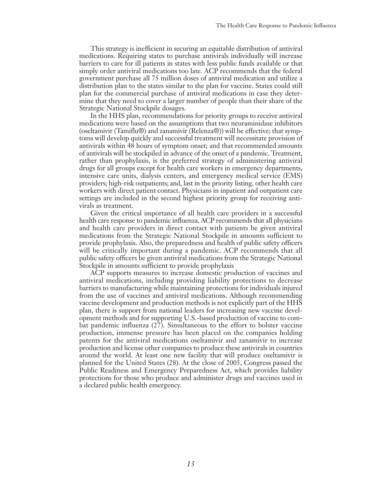This strategy is inefficient in securing an equitable distribution of antiviral medications. Requiring states to purchase antivirals individually will increase barriers to care for ill patients in states with less public funds available or that simply order antiviral medications too late. ACP recommends that the federal government purchase all 75 million doses of antiviral medication and utilize a distribution plan to the states similar to the plan for vaccine. States could still plan for the commercial purchase of antiviral medications in case they determine that they need to cover a larger number of people than their share of the Strategic National Stockpile dosages.

In the HHS plan, recommendations for priority groups to receive antiviral medications were based on the assumptions that two neuraminidase inhibitors (oseltamivir (Tamiflu®) and zanamivir (Relenza®)) will be effective; that symptoms will develop quickly and successful treatment will necessitate provision of antivirals within 48 hours of symptom onset; and that recommended amounts of antivirals will be stockpiled in advance of the onset of a pandemic. Treatment, rather than prophylaxis, is the preferred strategy of administering antiviral drugs for all groups except for health care workers in emergency departments, intensive care units, dialysis centers, and emergency medical service (EMS) providers; high-risk outpatients; and, last in the priority listing, other health care workers with direct patient contact. Physicians in inpatient and outpatient care settings are included in the second highest priority group for receiving antivirals as treatment.

Given the critical importance of all health care providers in a successful health care response to pandemic influenza, ACP recommends that all physicians and health care providers in direct contact with patients be given antiviral medications from the Strategic National Stockpile in amounts sufficient to provide prophylaxis. Also, the preparedness and health of public safety officers will be critically important during a pandemic. ACP recommends that all public safety officers be given antiviral medications from the Strategic National Stockpile in amounts sufficient to provide prophylaxis

ACP supports measures to increase domestic production of vaccines and antiviral medications, including providing liability protections to decrease barriers to manufacturing while maintaining protections for individuals injured from the use of vaccines and antiviral medications. Although recommending vaccine development and production methods is not explicitly part of the HHS plan, there is support from national leaders for increasing new vaccine development methods and for supporting U.S.-based production of vaccine to combat pandemic influenza (27). Simultaneous to the effort to bolster vaccine production, immense pressure has been placed on the companies holding patents for the antiviral medications oseltamivir and zanamivir to increase production and license other companies to produce these antivirals in countries around the world. At least one new facility that will produce oseltamivir is planned for the United States (28). At the close of 2005, Congress passed the Public Readiness and Emergency Preparedness Act, which provides liability protections for those who produce and administer drugs and vaccines used in a declared public health emergency.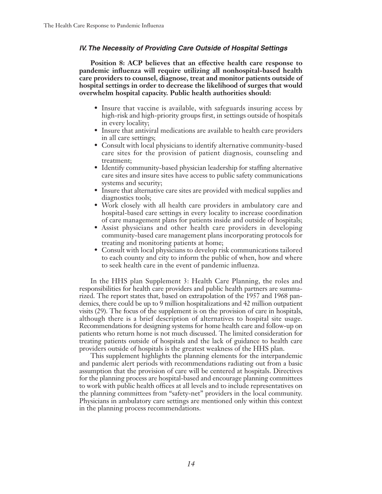#### *IV. The Necessity of Providing Care Outside of Hospital Settings*

**Position 8: ACP believes that an effective health care response to pandemic influenza will require utilizing all nonhospital-based health care providers to counsel, diagnose, treat and monitor patients outside of hospital settings in order to decrease the likelihood of surges that would overwhelm hospital capacity. Public health authorities should:**

- Insure that vaccine is available, with safeguards insuring access by high-risk and high-priority groups first, in settings outside of hospitals in every locality;
- Insure that antiviral medications are available to health care providers in all care settings;
- Consult with local physicians to identify alternative community-based care sites for the provision of patient diagnosis, counseling and treatment;
- Identify community-based physician leadership for staffing alternative care sites and insure sites have access to public safety communications systems and security;
- Insure that alternative care sites are provided with medical supplies and diagnostics tools;
- Work closely with all health care providers in ambulatory care and hospital-based care settings in every locality to increase coordination of care management plans for patients inside and outside of hospitals;
- Assist physicians and other health care providers in developing community-based care management plans incorporating protocols for treating and monitoring patients at home;
- Consult with local physicians to develop risk communications tailored to each county and city to inform the public of when, how and where to seek health care in the event of pandemic influenza.

In the HHS plan Supplement 3: Health Care Planning, the roles and responsibilities for health care providers and public health partners are summarized. The report states that, based on extrapolation of the 1957 and 1968 pandemics, there could be up to 9 million hospitalizations and 42 million outpatient visits (29). The focus of the supplement is on the provision of care in hospitals, although there is a brief description of alternatives to hospital site usage. Recommendations for designing systems for home health care and follow-up on patients who return home is not much discussed. The limited consideration for treating patients outside of hospitals and the lack of guidance to health care providers outside of hospitals is the greatest weakness of the HHS plan.

This supplement highlights the planning elements for the interpandemic and pandemic alert periods with recommendations radiating out from a basic assumption that the provision of care will be centered at hospitals. Directives for the planning process are hospital-based and encourage planning committees to work with public health offices at all levels and to include representatives on the planning committees from "safety-net" providers in the local community. Physicians in ambulatory care settings are mentioned only within this context in the planning process recommendations.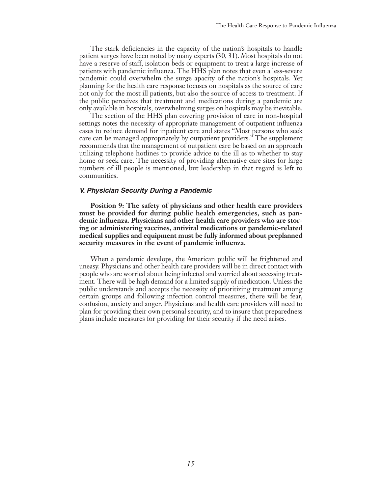The stark deficiencies in the capacity of the nation's hospitals to handle patient surges have been noted by many experts (30, 31). Most hospitals do not have a reserve of staff, isolation beds or equipment to treat a large increase of patients with pandemic influenza. The HHS plan notes that even a less-severe pandemic could overwhelm the surge apacity of the nation's hospitals. Yet planning for the health care response focuses on hospitals as the source of care not only for the most ill patients, but also the source of access to treatment. If the public perceives that treatment and medications during a pandemic are only available in hospitals, overwhelming surges on hospitals may be inevitable.

The section of the HHS plan covering provision of care in non-hospital settings notes the necessity of appropriate management of outpatient influenza cases to reduce demand for inpatient care and states "Most persons who seek care can be managed appropriately by outpatient providers." The supplement recommends that the management of outpatient care be based on an approach utilizing telephone hotlines to provide advice to the ill as to whether to stay home or seek care. The necessity of providing alternative care sites for large numbers of ill people is mentioned, but leadership in that regard is left to communities.

#### *V. Physician Security During a Pandemic*

**Position 9: The safety of physicians and other health care providers must be provided for during public health emergencies, such as pandemic influenza. Physicians and other health care providers who are storing or administering vaccines, antiviral medications or pandemic-related medical supplies and equipment must be fully informed about preplanned security measures in the event of pandemic influenza.**

When a pandemic develops, the American public will be frightened and uneasy. Physicians and other health care providers will be in direct contact with people who are worried about being infected and worried about accessing treatment. There will be high demand for a limited supply of medication. Unless the public understands and accepts the necessity of prioritizing treatment among certain groups and following infection control measures, there will be fear, confusion, anxiety and anger. Physicians and health care providers will need to plan for providing their own personal security, and to insure that preparedness plans include measures for providing for their security if the need arises.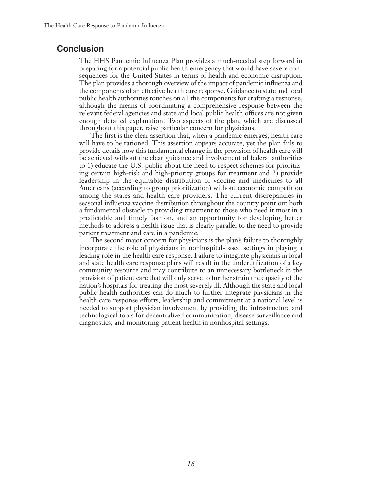## **Conclusion**

The HHS Pandemic Influenza Plan provides a much-needed step forward in preparing for a potential public health emergency that would have severe consequences for the United States in terms of health and economic disruption. The plan provides a thorough overview of the impact of pandemic influenza and the components of an effective health care response. Guidance to state and local public health authorities touches on all the components for crafting a response, although the means of coordinating a comprehensive response between the relevant federal agencies and state and local public health offices are not given enough detailed explanation. Two aspects of the plan, which are discussed throughout this paper, raise particular concern for physicians.

The first is the clear assertion that, when a pandemic emerges, health care will have to be rationed. This assertion appears accurate, yet the plan fails to provide details how this fundamental change in the provision of health care will be achieved without the clear guidance and involvement of federal authorities to 1) educate the U.S. public about the need to respect schemes for prioritizing certain high-risk and high-priority groups for treatment and 2) provide leadership in the equitable distribution of vaccine and medicines to all Americans (according to group prioritization) without economic competition among the states and health care providers. The current discrepancies in seasonal influenza vaccine distribution throughout the country point out both a fundamental obstacle to providing treatment to those who need it most in a predictable and timely fashion, and an opportunity for developing better methods to address a health issue that is clearly parallel to the need to provide patient treatment and care in a pandemic.

The second major concern for physicians is the plan's failure to thoroughly incorporate the role of physicians in nonhospital-based settings in playing a leading role in the health care response. Failure to integrate physicians in local and state health care response plans will result in the underutilization of a key community resource and may contribute to an unnecessary bottleneck in the provision of patient care that will only serve to further strain the capacity of the nation's hospitals for treating the most severely ill. Although the state and local public health authorities can do much to further integrate physicians in the health care response efforts, leadership and commitment at a national level is needed to support physician involvement by providing the infrastructure and technological tools for decentralized communication, disease surveillance and diagnostics, and monitoring patient health in nonhospital settings.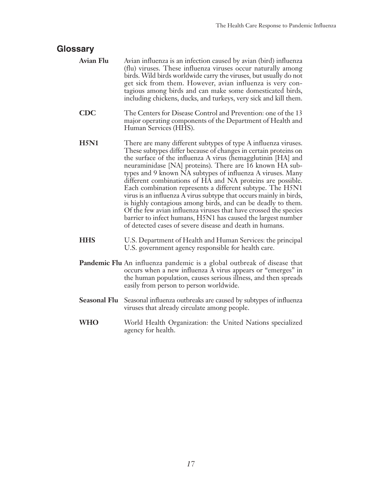# **Glossary**

- **Avian Flu** Avian influenza is an infection caused by avian (bird) influenza (flu) viruses. These influenza viruses occur naturally among birds. Wild birds worldwide carry the viruses, but usually do not get sick from them. However, avian influenza is very contagious among birds and can make some domesticated birds, including chickens, ducks, and turkeys, very sick and kill them.
- **CDC** The Centers for Disease Control and Prevention: one of the 13 major operating components of the Department of Health and Human Services (HHS).
- **H5N1** There are many different subtypes of type A influenza viruses. These subtypes differ because of changes in certain proteins on the surface of the influenza A virus (hemagglutinin [HA] and neuraminidase [NA] proteins). There are 16 known HA subtypes and 9 known NA subtypes of influenza A viruses. Many different combinations of HA and NA proteins are possible. Each combination represents a different subtype. The H5N1 virus is an influenza A virus subtype that occurs mainly in birds, is highly contagious among birds, and can be deadly to them. Of the few avian influenza viruses that have crossed the species barrier to infect humans, H5N1 has caused the largest number of detected cases of severe disease and death in humans.
- **HHS** U.S. Department of Health and Human Services: the principal U.S. government agency responsible for health care.
- **Pandemic Flu** An influenza pandemic is a global outbreak of disease that occurs when a new influenza A virus appears or "emerges" in the human population, causes serious illness, and then spreads easily from person to person worldwide.
- **Seasonal Flu** Seasonal influenza outbreaks are caused by subtypes of influenza viruses that already circulate among people.
- **WHO** World Health Organization: the United Nations specialized agency for health.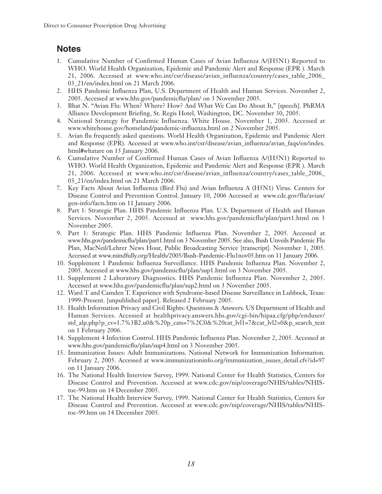# **Notes**

- 1. Cumulative Number of Confirmed Human Cases of Avian Influenza A/(H5N1) Reported to WHO. World Health Organization, Epidemic and Pandemic Alert and Response (EPR ). March 21, 2006. Accessed at www.who.int/csr/disease/avian\_influenza/country/cases\_table\_2006\_ 03\_21/en/index.html on 21 March 2006.
- 2. HHS Pandemic Influenza Plan, U.S. Department of Health and Human Services. November 2, 2005. Accessed at www.hhs.gov/pandemicflu/plan/ on 3 November 2005.
- 3. Bhat N. "Avian Flu: When? Where? How? And What We Can Do About It," [speech]. PhRMA Alliance Development Briefing, St. Regis Hotel, Washington, DC. November 30, 2005.
- 4. National Strategy for Pandemic Influenza. White House. November 1, 2005. Accessed at www.whitehouse.gov/homeland/pandemic-influenza.html on 2 November 2005.
- 5. Avian flu frequently asked questions. World Health Organization, Epidemic and Pandemic Alert and Response (EPR). Accessed at www.who.int/csr/disease/avian\_influenza/avian\_faqs/en/index. html#whatare on 15 January 2006.
- 6. Cumulative Number of Confirmed Human Cases of Avian Influenza A/(H5N1) Reported to WHO. World Health Organization, Epidemic and Pandemic Alert and Response (EPR ). March 21, 2006. Accessed at www.who.int/csr/disease/avian\_influenza/country/cases\_table\_2006\_ 03\_21/en/index.html on 21 March 2006.
- 7. Key Facts About Avian Influenza (Bird Flu) and Avian Influenza A (H5N1) Virus. Centers for Disease Control and Prevention Control. January 10, 2006 Accessed at www.cdc.gov/flu/avian/ gen-info/facts.htm on 11 January 2006.
- 8. Part 1: Strategic Plan. HHS Pandemic Influenza Plan. U.S. Department of Health and Human Services. November 2, 2005. Accessed at www.hhs.gov/pandemicflu/plan/part1.html on 3 November 2005.
- 9. Part 1: Strategic Plan. HHS Pandemic Influenza Plan. November 2, 2005. Accessed at www.hhs.gov/pandemicflu/plan/part1.html on 3 November 2005. See also, Bush Unveils Pandemic Flu Plan, MacNeil/Lehrer News Hour, Public Broadcasting Service [transcript]. November 1, 2005. Accessed at www.mindfully.org/Health/2005/Bush-Pandemic-Flu1nov05.htm on 11 January 2006.
- 10. Supplement 1 Pandemic Influenza Surveillance. HHS Pandemic Influenza Plan. November 2, 2005. Accessed at www.hhs.gov/pandemicflu/plan/sup1.html on 3 November 2005.
- 11. Supplement 2 Laboratory Diagnostics. HHS Pandemic Influenza Plan. November 2, 2005. Accessed at www.hhs.gov/pandemicflu/plan/sup2.html on 3 November 2005.
- 12. Ward T and Camden T. Experience with Syndrome-based Disease Surveillance in Lubbock, Texas: 1999-Present. [unpublished paper]. Released 2 February 2005.
- 13. Health Information Privacy and Civil Rights: Questions & Answers. US Department of Health and Human Services. Accessed at healthprivacy.answers.hhs.gov/cgi-bin/hipaa.cfg/php/enduser/ std\_alp.php?p\_cv=1.7%3B2.u0&%20p\_cats=7%2C0&%20cat\_lvl1=7&cat\_lvl2=0&p\_search\_text on 1 February 2006.
- 14. Supplement 4 Infection Control. HHS Pandemic Influenza Plan. November 2, 2005. Accessed at www.hhs.gov/pandemicflu/plan/sup4.html on 3 November 2005.
- 15. Immunization Issues: Adult Immunizations. National Network for Immunization Information. February 2, 2005. Accessed at www.immunizationinfo.org/immunization\_issues\_detail.cfv?id=97 on 11 January 2006.
- 16. The National Health Interview Survey, 1999. National Center for Health Statistics, Centers for Disease Control and Prevention. Accessed at www.cdc.gov/nip/coverage/NHIS/tables/NHIStoc-99.htm on 14 December 2005.
- 17. The National Health Interview Survey, 1999. National Center for Health Statistics, Centers for Disease Control and Prevention. Accessed at www.cdc.gov/nip/coverage/NHIS/tables/NHIStoc-99.htm on 14 December 2005.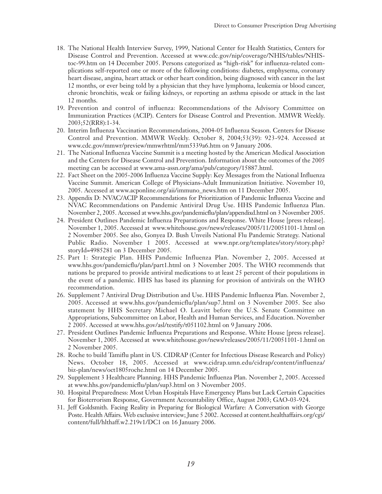- 18. The National Health Interview Survey, 1999, National Center for Health Statistics, Centers for Disease Control and Prevention. Accessed at www.cdc.gov/nip/coverage/NHIS/tables/NHIStoc-99.htm on 14 December 2005. Persons categorized as "high-risk" for influenza-related complications self-reported one or more of the following conditions: diabetes, emphysema, coronary heart disease, angina, heart attack or other heart condition, being diagnosed with cancer in the last 12 months, or ever being told by a physician that they have lymphoma, leukemia or blood cancer, chronic bronchitis, weak or failing kidneys, or reporting an asthma episode or attack in the last 12 months.
- 19. Prevention and control of influenza: Recommendations of the Advisory Committee on Immunization Practices (ACIP). Centers for Disease Control and Prevention. MMWR Weekly. 2003;52(RR8):1-34.
- 20. Interim Influenza Vaccination Recommendations, 2004-05 Influenza Season. Centers for Disease Control and Prevention. MMWR Weekly. October 8, 2004;53(39): 923-924. Accessed at www.cdc.gov/mmwr/preview/mmwrhtml/mm5339a6.htm on 9 January 2006.
- 21. The National Influenza Vaccine Summit is a meeting hosted by the American Medical Association and the Centers for Disease Control and Prevention. Information about the outcomes of the 2005 meeting can be accessed at www.ama-assn.org/ama/pub/category/15887.html.
- 22. Fact Sheet on the 2005-2006 Influenza Vaccine Supply: Key Messages from the National Influenza Vaccine Summit. American College of Physicians-Adult Immunization Initiative. November 10, 2005. Accessed at www.acponline.org/aii/immuno\_news.htm on 11 December 2005.
- 23. Appendix D: NVAC/ACIP Recommendations for Prioritization of Pandemic Influenza Vaccine and NVAC Recommendations on Pandemic Antiviral Drug Use. HHS Pandemic Influenza Plan. November 2, 2005. Accessed at www.hhs.gov/pandemicflu/plan/appendixd.html on 3 November 2005.
- 24. President Outlines Pandemic Influenza Preparations and Response. White House [press release]. November 1, 2005. Accessed at www.whitehouse.gov/news/releases/2005/11/20051101-1.html on 2 November 2005. See also, Gonyea D. Bush Unveils National Flu Pandemic Strategy. National Public Radio. November 1 2005. Accessed at www.npr.org/templates/story/story.php? storyId=4985281 on 3 December 2005.
- 25. Part 1: Strategic Plan. HHS Pandemic Influenza Plan. November 2, 2005. Accessed at www.hhs.gov/pandemicflu/plan/part1.html on 3 November 2005. The WHO recommends that nations be prepared to provide antiviral medications to at least 25 percent of their populations in the event of a pandemic. HHS has based its planning for provision of antivirals on the WHO recommendation.
- 26. Supplement 7 Antiviral Drug Distribution and Use. HHS Pandemic Influenza Plan. November 2, 2005. Accessed at www.hhs.gov/pandemicflu/plan/sup7.html on 3 November 2005. See also statement by HHS Secretary Michael O. Leavitt before the U.S. Senate Committee on Appropriations, Subcommittee on Labor, Health and Human Services, and Education. November 2 2005. Accessed at www.hhs.gov/asl/testify/t051102.html on 9 January 2006.
- 27. President Outlines Pandemic Influenza Preparations and Response. White House [press release]. November 1, 2005. Accessed at www.whitehouse.gov/news/releases/2005/11/20051101-1.html on 2 November 2005.
- 28. Roche to build Tamiflu plant in US. CIDRAP (Center for Infectious Disease Research and Policy) News. October 18, 2005. Accessed at www.cidrap.umn.edu/cidrap/content/influenza/ biz-plan/news/oct1805roche.html on 14 December 2005.
- 29. Supplement 3 Healthcare Planning. HHS Pandemic Influenza Plan. November 2, 2005. Accessed at www.hhs.gov/pandemicflu/plan/sup3.html on 3 November 2005.
- 30. Hospital Preparedness: Most Urban Hospitals Have Emergency Plans but Lack Certain Capacities for Bioterrorism Response, Government Accountability Office, August 2003; GAO-03-924.
- 31. Jeff Goldsmith. Facing Reality in Preparing for Biological Warfare: A Conversation with George Poste. Health Affairs. Web exclusive interview; June 5 2002. Accessed at content.healthaffairs.org/cgi/ content/full/hlthaff.w2.219v1/DC1 on 16 January 2006.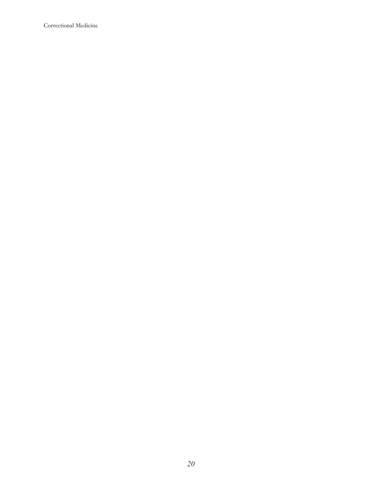Correctional Medicine